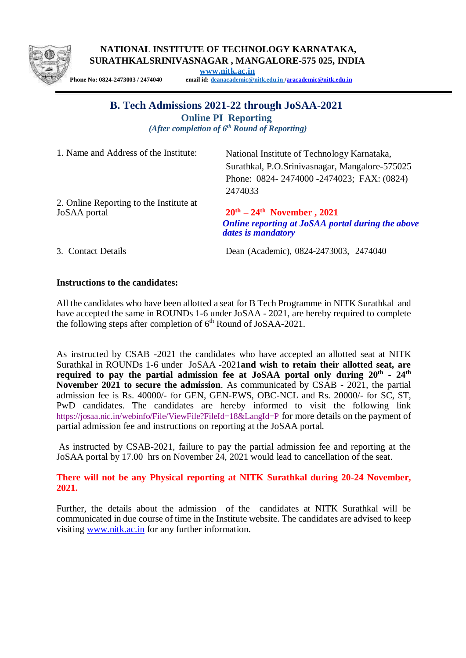

**NATIONAL INSTITUTE OF TECHNOLOGY KARNATAKA, SURATHKALSRINIVASNAGAR , MANGALORE-575 025, INDIA**

**[www.nitk.ac.in](http://www.nitk.ac.in/)**

**Phone No: 0824-2473003 / 2474040 email id: [deanacademic@nitk.edu.in](mailto:deanacademic@nitk.edu.in) [/aracademic@nitk.edu.in](mailto:aracademic@nitk.edu.in)**

## **B. Tech Admissions 2021-22 through JoSAA-2021**

**Online PI Reporting**

*(After completion of 6 th Round of Reporting)*

1. Name and Address of the Institute: National Institute of Technology Karnataka,

Surathkal, P.O.Srinivasnagar, Mangalore-575025 Phone: 0824- 2474000 -2474023; FAX: (0824) 2474033

2. Online Reporting to the Institute at JoSAA portal **20th – 24th November , 2021**

*Online reporting at JoSAA portal during the above dates is mandatory*

3. Contact Details Dean (Academic), 0824-2473003, 2474040

## **Instructions to the candidates:**

All the candidates who have been allotted a seat for B Tech Programme in NITK Surathkal and have accepted the same in ROUNDs 1-6 under JoSAA - 2021, are hereby required to complete the following steps after completion of  $6<sup>th</sup>$  Round of JoSAA-2021.

As instructed by CSAB -2021 the candidates who have accepted an allotted seat at NITK Surathkal in ROUNDs 1-6 under JoSAA -2021**and wish to retain their allotted seat, are required to pay the partial admission fee at JoSAA portal only during 20th - 24th November 2021 to secure the admission**. As communicated by CSAB - 2021, the partial admission fee is Rs. 40000/- for GEN, GEN-EWS, OBC-NCL and Rs. 20000/- for SC, ST, PwD candidates. The candidates are hereby informed to visit the following link [https://josaa.nic.in/webinfo/File/ViewFile?FileId=18&LangId=P](https://josaa.nic.in/webinfo/File/ViewFile?FileId=18&LangId=P%20) for more details on the payment of partial admission fee and instructions on reporting at the JoSAA portal.

As instructed by CSAB-2021, failure to pay the partial admission fee and reporting at the JoSAA portal by 17.00 hrs on November 24, 2021 would lead to cancellation of the seat.

**There will not be any Physical reporting at NITK Surathkal during 20-24 November, 2021.** 

Further, the details about the admission of the candidates at NITK Surathkal will be communicated in due course of time in the Institute website. The candidates are advised to keep visiting [www.nitk.ac.in](http://www.nitk.ac.in/) for any further information.